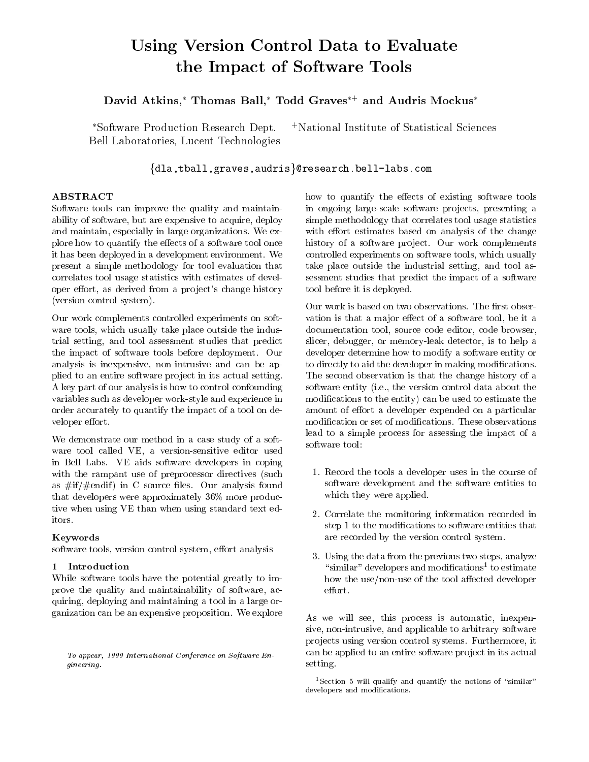# Using Version Control Data to Evaluate the Impact of Software Tools of Software Tools and Impact of Software Tools and Impact of Software Tools and Impact of Tools and Impact of Tools and Impact of Tools and Impact of Tools and Impact of Tools and Impact of Too

# David Atkins, Thomas Ball, Todd Graves+ and Audris Mockus

\*Software Production Research Dept. Bell Laboratories, Lucent Technologies

<sup>+</sup>National Institute of Statistical Sciences

 $\{dla,tball,graves, audris\}$ Gresearch.bell-labs.com

## **ABSTRACT**

Software tools can improve the quality and maintainability of software, but are expensive to acquire, deploy and maintain, especially in large organizations. We explore how to quantify the effects of a software tool once it has been deployed in a development environment. We present a simple methodology for tool evaluation that correlates tool usage statistics with estimates of developer effort, as derived from a project's change history (version control system).

Our work complements controlled experiments on soft ware tools, which usually take place outside the industrial setting, and tool assessment studies that predict the impact of software tools before deployment. Our analysis is inexpensive, non-intrusive and can be applied to an entire software pro ject in its actual setting. A key part of our analysis is how to control confounding variables such as developer work-style and experience in order accurately to quantify the impact of a tool on de veloper effort.

We demonstrate our method in a case study of a soft ware tool called VE, a version-sensitive editor used in Bell Labs. VE aids software developers in coping with the rampant use of preprocessor directives (such as  $\#$ if/ $\#$ endif) in C source files. Our analysis found that developers were approximately 36% more productive when using VE than when using standard text editors.

#### Keywords

software tools, version control system, effort analysis

While software tools have the potential greatly to improve the quality and maintainability of software, acquiring, deploying and maintaining a tool in a large organization can be an expensive proposition. We explore

how to quantify the effects of existing software tools in ongoing large-scale software projects, presenting a simple methodology that correlates tool usage statistics with effort estimates based on analysis of the change history of a software project. Our work complements controlled experiments on software tools, which usually take place outside the industrial setting, and tool assessment studies that predict the impact of a software tool before it is deployed.

Our work is based on two observations. The first observation is that a major effect of a software tool, be it a documentation tool, source code editor, code browser, slicer, debugger, or memory-leak detector, is to help a developer determine how to modify a software entity or to directly to aid the developer in making modications. The second observation is that the change history of a software entity (i.e., the version control data about the modications to the entity) can be used to estimate the amount of effort a developer expended on a particular modification or set of modifications. These observations lead to a simple process for assessing the impact of a software tool:

- 1. Record the tools a developer uses in the course of software development and the software entities to which they were applied.
- 2. Correlate the monitoring information recorded in step 1 to the modications to software entities that are recorded by the version control system.
- 3. Using the data from the previous two steps, analyze  $\,$  similar – developers and modifications – to estimate  $\,$ how the use/non-use of the tool affected developer

As we will see, this process is automatic, inexpensive, non-intrusive, and applicable to arbitrary software projects using version control systems. Furthermore, it can be applied to an entire software pro ject in its actual setting. setting.

<sup>1</sup>Section 5 will qualify and quantify the notions of "similar" developers and modifications.

To appear, 1999 International Conference on Software Engineering.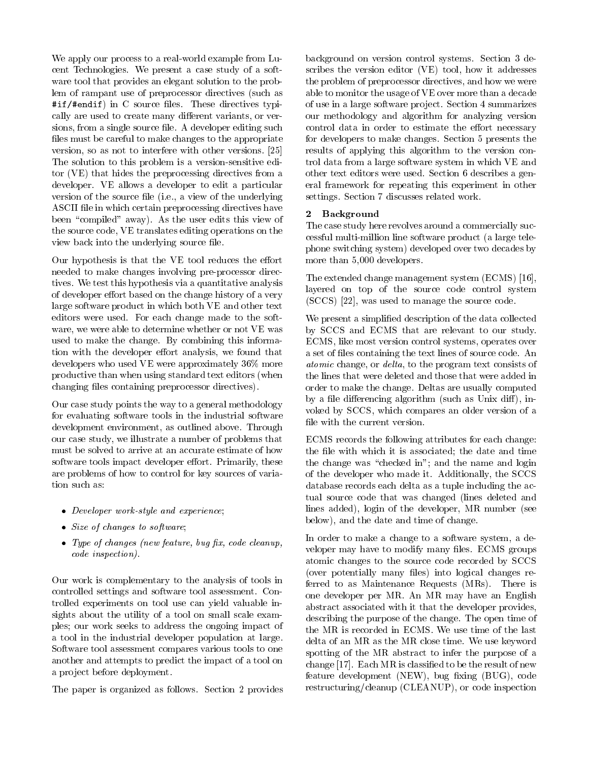We apply our process to a real-world example from Lucent Technologies. We present a case study of a soft ware tool that provides an elegant solution to the problem of rampant use of preprocessor directives (such as #if/#endif) in C source les. These directives typically are used to create many different variants, or versions, from a single source file. A developer editing such files must be careful to make changes to the appropriate version, so as not to interfere with other versions. [25] The solution to this problem is a version-sensitive editor (VE) that hides the preprocessing directives from a developer. VE allows a developer to edit a particular version of the source file (i.e., a view of the underlying ASCII file in which certain preprocessing directives have been "compiled" away). As the user edits this view of the source code, VE translates editing operations on the view back into the underlying source file.

Our hypothesis is that the VE tool reduces the effort needed to make changes involving pre-processor directives. We test this hypothesis via a quantitative analysis of developer effort based on the change history of a very large software product in which both VE and other text editors were used. For each change made to the soft ware, we were able to determine whether or not VE was used to make the change. By combining this information with the developer effort analysis, we found that developers who used VE were approximately 36% more productive than when using standard text editors (when changing files containing preprocessor directives).

Our case study points the way to a general methodology for evaluating software tools in the industrial software tools on the industrial software file with the current version. development environment, as outlined above. Through our case study, we illustrate a number of problems that must be solved to arrive at an accurate estimate of how software tools impact developer effort. Primarily, these are problems of how to control for key sources of variation such as:

- $\bullet$  Developer work-style and experience;
- Size of changes to software;
- $\bullet$  1ype of changes (new feature, bug fix, code cleanup, code inspection).

Our work is complementary to the analysis of tools in controlled settings and software tool assessment. Controlled experiments on tool use can yield valuable insights about the utility of a tool on small scale examples; our work seeks to address the ongoing impact of a tool in the industrial developer population at large. Software tool assessment compares various tools to one another and attempts to predict the impact of a tool on a project before deployment.

The paper is organized as follows. Section 2 provides

background on version control systems. Section 3 describes the version editor (VE) tool, how it addresses the problem of preprocessor directives, and how we were the problem of preprocessor directives, and how we were able to monitor the usage of VE over more than a decade of use in a large software pro ject. Section 4 summarizes our methodology and algorithm for analyzing version control data in order to estimate the effort necessary for developers to make changes. Section 5 presents the results of applying this algorithm to the version control data from a large software system in which VE and other text editors were used. Section 6 describes a general framework for repeating this experiment in other settings. Section 7 discusses related work.

#### 2 Background

The case study here revolves around a commercially successful multi-million line software product (a large telephone switching system) developed over two decades by more than 5,000 developers.

The extended change management system (ECMS) [16], layered on top of the source code control system (SCCS) [22], was used to manage the source code.

We present a simplified description of the data collected by SCCS and ECMS that are relevant to our study. ECMS, like most version control systems, operates over a set of files containing the text lines of source code. An atomic change, or delta, to the program text consists of the lines that were deleted and those that were added in order to make the change. Deltas are usually computed by a file differencing algorithm (such as Unix diff), invoked by SCCS, which compares an older version of a

ECMS records the following attributes for each change: the file with which it is associated; the date and time the change was "checked in"; and the name and login of the developer who made it. Additionally, the SCCS database records each delta as a tuple including the actual source code that was changed (lines deleted and lines added), login of the developer, MR number (see below), and the date and time of change.

In order to make a change to a software system, a developer may have to modify many files. ECMS groups atomic changes to the source code recorded by SCCS (over potentially many files) into logical changes referred to as Maintenance Requests (MRs). There is one developer per MR. An MR may have an English abstract associated with it that the developer provides, describing the purpose of the change. The open time of the MR is recorded in ECMS. We use time of the last delta of an MR as the MR close time. We use keyword spotting of the MR abstract to infer the purpose of a change [17]. Each MR is classied to be the result of new feature development (NEW), bug fixing (BUG), code restructuring/cleanup (CLEANUP), or code inspection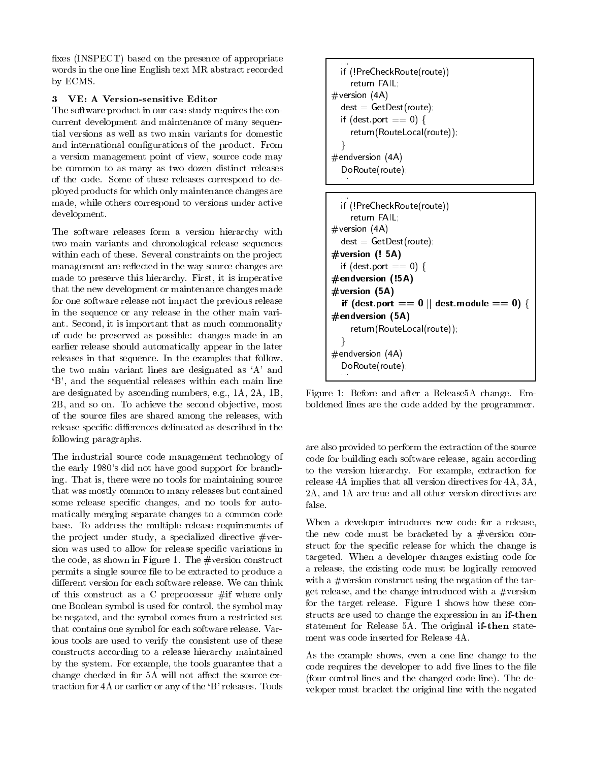fixes (INSPECT) based on the presence of appropriate words in the one line English text MR abstract recorded by ECMS.

#### 3 VE: A Version-sensitive Editor

The software product in our case study requires the concurrent development and maintenance of many sequential versions as well as two main variants for domestic and international configurations of the product. From a version management point of view, source code may be common to as many as two dozen distinct releases of the code. Some of these releases correspond to deployed products for which only maintenance changes are made, while others correspond to versions under active development.

The software releases form a version hierarchy with two main variants and chronological release sequences within each of these. Several constraints on the project management are reflected in the way source changes are made to preserve this hierarchy. First, it is imperative that the new development or maintenance changes made for one software release not impact the previous release in the sequence or any release in the other main variant. Second, it is important that as much commonality of code be preserved as possible: changes made in an earlier release should automatically appear in the later releases in that sequence. In the examples that follow, the two main variant lines are designated as `A' and `B', and the sequential releases within each main line are designated by ascending numbers, e.g., 1A, 2A, 1B, 2B, and so on. To achieve the second objective, most of the source files are shared among the releases, with release specific differences delineated as described in the following paragraphs.

The industrial source code management technology of the early 1980's did not have good support for branching. That is, there were no tools for maintaining source that was mostly common to many releases but contained some release specific changes, and no tools for automatically merging separate changes to a common code base. To address the multiple release requirements of the project under study, a specialized directive  $\#\text{ver-}$ sion was used to allow for release specific variations in the code, as shown in Figure 1. The  $#version$  construct permits a single source file to be extracted to produce a different version for each software release. We can think of this construct as a C preprocessor #if where only one Boolean symbol is used for control, the symbol may be negated, and the symbol comes from a restricted set that contains one symbol for each software release. Various tools are used to verify the consistent use of these constructs according to a release hierarchy maintained by the system. For example, the tools guarantee that a change checked in for  $5A$  will not affect the source extraction for 4A or earlier or any of the `B' releases. Tools

$$
\begin{array}{ll}\n\text{if } (\text{!PreCheckRoute}(\text{route})) \\
\text{return FAll;} \\
\text{#version (4A)} \\
\text{dest} = \text{GetDest}(\text{route}); \\
\text{ if } (\text{dest port} == 0) \{\\\quad \text{ return}(\text{RouteLocal}(\text{route})); \\
\}\n\end{array}
$$
\n
$$
\begin{array}{ll}\n\text{#endversion (4A)} \\
\text{DoRoute}(\text{route}); \\
\text{...}\n\end{array}
$$

```
if (!PreCheckRoute(route))
    return FAIL;
#version (4A)dest = GetDest(root);
#version (! 5A)
 if (dest.port == 0) {
#endversion (!5A)
#version (5A)
  if (dest.port == 0 || dest.module == 0) {
#endversion (5A)
    return(RouteLocal(route));
  \}#endversion (4A)
  DoRoute(route);
```


are also provided to perform the extraction of the source code for building each software release, again according to the version hierarchy. For example, extraction for release 4A implies that all version directives for 4A, 3A, 2A, and 1A are true and all other version directives are false.

When a developer introduces new code for a release, the new code must be bracketed by a #version construct for the specific release for which the change is targeted. When a developer changes existing code for a release, the existing code must be logically removed with a #version construct using the negation of the target release, and the change introduced with a  $\#$ version for the target release. Figure 1 shows how these constructs are used to change the expression in an if-then statement for Release 5A. The original if-then state-

As the example shows, even a one line change to the code requires the developer to add five lines to the file (four control lines and the changed code line). The de veloper must bracket the original line with the negated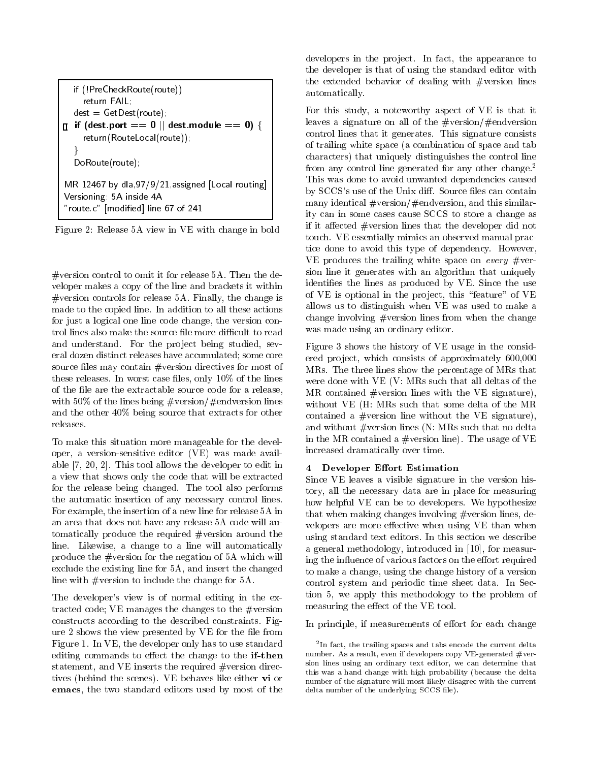



#version control to omit it for release 5A. Then the de veloper makes a copy of the line and brackets it within  $#version controls for release 5A. Finally, the change is$ made to the copied line. In addition to all these actions for just a logical one line code change, the version control lines also make the source file more difficult to read and understand. For the project being studied, several dozen distinct releases have accumulated; some core source files may contain  $#version$  directives for most of these releases. In worst case files, only  $10\%$  of the lines of the file are the extractable source code for a release, with 50% of the lines being  $\#$ version/ $\#$ endversion lines and the other 40% being source that extracts for other releases.

To make this situation more manageable for the developer, a version-sensitive editor (VE) was made available [7, 20, 2]. This tool allows the developer to edit in  $4$ a view that shows only the code that will be extracted for the release being changed. The tool also performs the automatic insertion of any necessary control lines. For example, the insertion of a new line for release 5A in an area that does not have any release 5A code will automatically produce the required #version around the line. Likewise, a change to a line will automatically produce the #version for the negation of 5A which will exclude the existing line for 5A, and insert the changed line with #version to include the change for 5A.

The developer's view is of normal editing in the extracted code; VE manages the changes to the  $\#$ version constructs according to the described constraints. Figure 2 shows the view presented by VE for the file from Figure 1. In VE, the developer only has to use standard editing commands to effect the change to the if-then statement, and VE inserts the required  $#version$  directives (behind the scenes). VE behaves like either vi or emacs, the two standard editors used by most of the developers in the project. In fact, the appearance to the developer is that of using the standard editor with the extended behavior of dealing with #version lines automatically.

For this study, a noteworthy aspect of VE is that it leaves a signature on all of the  $\#version/\#endversion$ control lines that it generates. This signature consists of trailing white space (a combination of space and tab characters) that uniquely distinguishes the control line from any control line generated for any other change.<sup>2</sup> This was done to avoid unwanted dependencies caused by SCCS's use of the Unix diff. Source files can contain many identical  $\#version/\#endversion$ , and this similarity can in some cases cause SCCS to store a change as if it affected  $#version$  lines that the developer did not touch. VE essentially mimics an observed manual practice done to avoid this type of dependency. However, VE produces the trailing white space on every  $\#\text{ver-}$ sion line it generates with an algorithm that uniquely identies the lines as produced by VE. Since the use of VE is optional in the project, this "feature" of VE allows us to distinguish when VE was used to make a change involving  $#version$  lines from when the change was made using an ordinary editor.

Figure 3 shows the history of VE usage in the considered project, which consists of approximately 600,000 MRs. The three lines show the percentage of MRs that were done with VE (V: MRs such that all deltas of the MR contained  $\#$  version lines with the VE signature), without VE (H: MRs such that some delta of the MR contained a  $\#$ version line without the VE signature), and without #version lines (N: MRs such that no delta in the MR contained a  $#version$  line). The usage of VE increased dramatically over time.

## Developer Effort Estimation

Since VE leaves a visible signature in the version history, all the necessary data are in place for measuring how helpful VE can be to developers. We hypothesize that when making changes involving #version lines, de velopers are more effective when using VE than when using standard text editors. In this section we describe a general methodology, introduced in [10], for measuring the influence of various factors on the effort required to make a change, using the change history of a version control system and periodic time sheet data. In Section 5, we apply this methodology to the problem of measuring the effect of the VE tool.

In principle, if measurements of effort for each change

<sup>2</sup> In fact, the trailing spaces and tabs encode the current delta number. As a result, even if developers copy VE-generated #ver sion lines using an ordinary text editor, we can determine that this was a hand change with high probability (because the delta number of the signature will most likely disagree with the current delta number of the underlying SCCS file).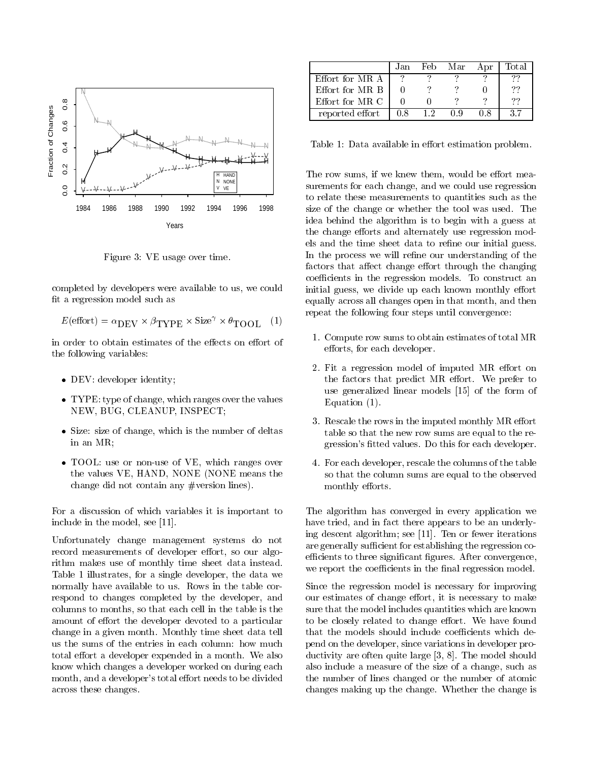

Figure 3: VE usage over time.

completed by developers were available to us, we could fit a regression model such as

$$
E(\text{effort}) = \alpha_{\text{DEV}} \times \beta_{\text{TYPE}} \times \text{Size}^{\gamma} \times \theta_{\text{TOOL}} \quad (1)
$$

in order to obtain estimates of the effects on effort of the following variables:

- $\bullet$  DEV: developer identity;
- $\bullet$  1 YPE: type of change, which ranges over the values NEW, BUG, CLEANUP, INSPECT;
- $\bullet$  Size: size of change, which is the number of deltas in an MR;
- $\bullet$  IOOL: use or non-use of VE, which ranges over the values VE, HAND, NONE (NONE means the change did not contain any #version lines).

For a discussion of which variables it is important to include in the model, see [11].

Unfortunately change management systems do not record measurements of developer effort, so our algorithm makes use of monthly time sheet data instead. Table 1 illustrates, for a single developer, the data we normally have available to us. Rows in the table correspond to changes completed by the developer, and columns to months, so that each cell in the table is the amount of effort the developer devoted to a particular change in a given month. Monthly time sheet data tell us the sums of the entries in each column: how much total effort a developer expended in a month. We also know which changes a developer worked on during each month, and a developer's total effort needs to be divided across these changes.

|                 | Jan | Feb | Mar | Apr | Total |
|-----------------|-----|-----|-----|-----|-------|
| Effort for MR A |     |     |     |     | າເ    |
| Effort for MR B |     |     |     |     | ??    |
| Effort for MR C |     |     |     |     | 22    |
| reported effort |     |     |     |     | 27    |

Table 1: Data available in effort estimation problem.

The row sums, if we knew them, would be effort measurements for each change, and we could use regression to relate these measurements to quantities such as the size of the change or whether the tool was used. The idea behind the algorithm is tobegin with a guess at the change efforts and alternately use regression models and the time sheet data to refine our initial guess. In the process we will refine our understanding of the factors that affect change effort through the changing coefficients in the regression models. To construct an initial guess, we divide up each known monthly effort equally across all changes open in that month, and then repeat the following four steps until convergence:

- 1. Compute row sums to obtain estimates of total MR efforts, for each developer.
- 2. Fit a regression model of imputed MR effort on the factors that predict MR effort. We prefer to use generalized linear models [15] of the form of Equation (1).
- 3. Rescale the rows in the imputed monthly MR effort table so that the new row sums are equal to the regression's fitted values. Do this for each developer.
- 4. For each developer, rescale the columns of the table so that the column sums are equal to the observed monthly efforts.

The algorithm has converged in every application we have tried, and in fact there appears to be an underlying descent algorithm; see [11]. Ten or fewer iterations are generally sufficient for establishing the regression coefficients to three significant figures. After convergence, we report the coefficients in the final regression model.

Since the regression model is necessary for improving our estimates of change effort, it is necessary to make sure that the model includes quantities which are known to be closely related to change effort. We have found that the models should include coefficients which depend on the developer, since variations in developer productivity are often quite large [3, 8]. The model should also include a measure of the size of a change, such as the number of lines changed or the number of atomic changes making up the change. Whether the change is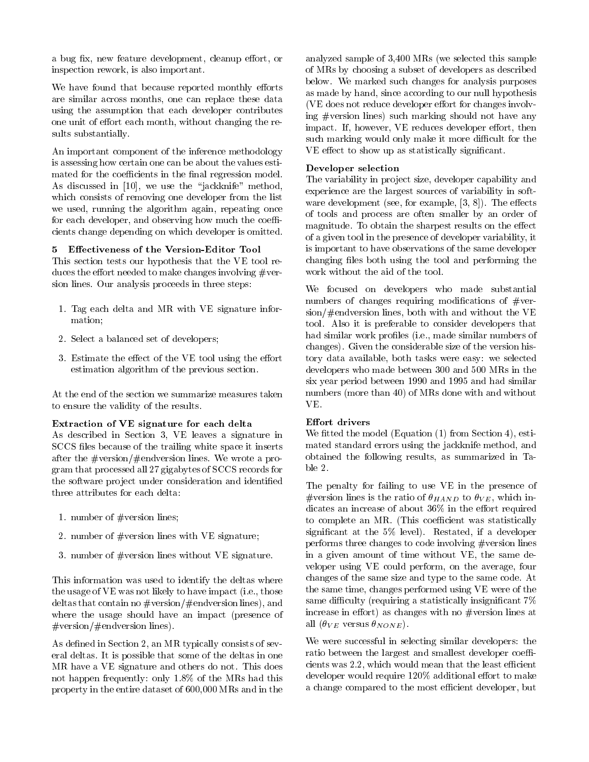a bug fix, new feature development, cleanup effort, or inspection rework, is also important.

We have found that because reported monthly efforts are similar across months, one can replace these data using the assumption that each developer contributes one unit of effort each month, without changing the results substantially.

An important component of the inference methodology is assessing how certain one can be about the values estimated for the coefficients in the final regression model. As discussed in [10], we use the "jackknife" method, which consists of removing one developer from the list we used, running the algorithm again, repeating once for each developer, and observing how much the coefficients change depending on which developer is omitted.

#### Effectiveness of the Version-Editor Tool  $\mathbf{5}$

This section tests our hypothesis that the VE tool reduces the effort needed to make changes involving  $\#ver$ sion lines. Our analysis proceeds in three steps:

- 1. Tag each delta and MR with VE signature information: mation; and in the contract of the contract of the contract of the contract of the contract of the contract of
- 2. Select a balanced set of developers;
- 3. Estimate the effect of the VE tool using the effort estimation algorithm of the previous section.

to ensure the validity of the results.

#### Extraction of VE signature for each delta

As described in Section 3, VE leaves a signature in SCCS files because of the trailing white space it inserts after the #version/#endversion lines. We wrote a program that processed all 27 gigabytes of SCCS records for the software project under consideration and identified three attributes for each delta:

- 1. number of #version lines;
- 2. number of #version lines with VE signature;
- 3. number of #version lines without VE signature.

This information was used to identify the deltas where the usage of VE was not likely to have impact (i.e., those deltas that contain no  $\#$ version/ $\#$ endversion lines), and where the usage should have an impact (presence of  $\#version/\#endversion lines$ .

As defined in Section 2, an MR typically consists of several deltas. It is possible that some of the deltas in one MR have a VE signature and others do not. This does not happen frequently: only 1.8% of the MRs had this property in the entire dataset of 600,000 MRs and in the

analyzed sample of 3,400 MRs (we selected this sample of MRs by choosing a subset of developers as described below. We marked such changes for analysis purposes as made by hand, since according to our null hypothesis (VE does not reduce developer effort for changes involving #version lines) such marking should not have any impact. If, however, VE reduces developer effort, then such marking would only make it more difficult for the VE effect to show up as statistically significant.

#### Developer selection

The variability in project size, developer capability and experience are the largest sources of variability in soft ware development (see, for example,  $[3, 8]$ ). The effects of tools and process are often smaller by an order of magnitude. To obtain the sharpest results on the effect of a given tool in the presence of developer variability, it is important to have observations of the same developer changing files both using the tool and performing the

We focused on developers who made substantial numbers of changes requiring modifications of  $\#$ version/#endversion lines, both with and without the VE tool. Also it is preferable to consider developers that had similar work profiles (i.e., made similar numbers of changes). Given the considerable size of the version history data available, both tasks were easy: we selected developers who made between 300 and 500 MRs in the six year period between 1990 and 1995 and had similar numbers (more than 40) of MRs done with and without

#### **Effort drivers**

We fitted the model (Equation  $(1)$  from Section 4), estimated standard errors using the jackknife method, and obtained the following results, as summarized in Ta $ble 2.$ 

The penalty for failing to use VE in the presence of #version lines is the ratio of  $\theta_{HAND}$  to  $\theta_{VE}$ , which indicates an increase of about  $36\%$  in the effort required to complete an MR. (This coefficient was statistically signicant at the 5% level). Restated, if a developer performs three changes to code involving #version lines in a given amount of time without VE, the same de veloper using VE could perform, on the average, four changes of the same size and type to the same code. At the same time, changes performed using VE were of the same difficulty (requiring a statistically insignificant  $7\%$ increase in effort) as changes with no  $\#$ version lines at all  $(\theta_{VE}$  versus  $\theta_{NONE}$ ).

We were successful in selecting similar developers: the ratio between the largest and smallest developer coefficients was 2.2, which would mean that the least efficient developer would require  $120\%$  additional effort to make a change compared to the most efficient developer, but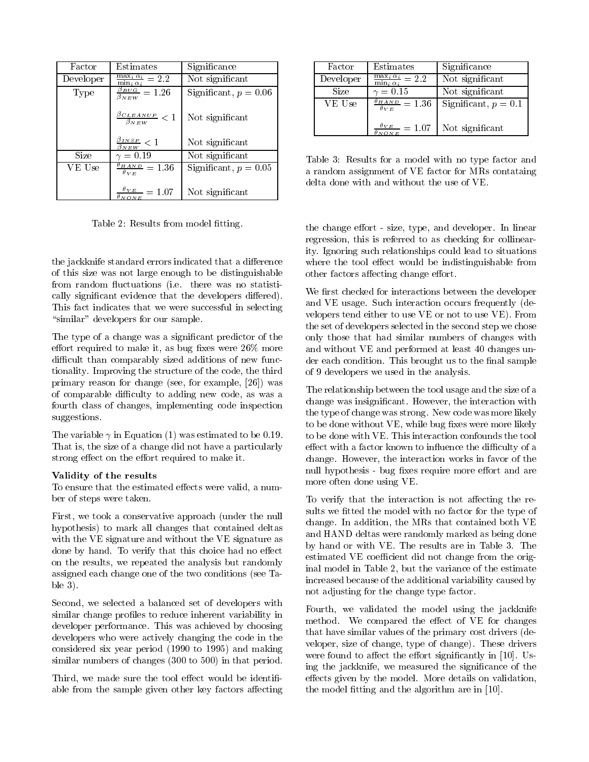| Factor    | Estimates                                                          | Significance            |  |
|-----------|--------------------------------------------------------------------|-------------------------|--|
| Developer | $\frac{\max_i \alpha_i}{\min_i \alpha_i} = 2.2$                    | Not significant         |  |
| Type      | $\frac{\beta_{BUG}}{2} = 1.26$<br>$\overline{\beta}_{N \, E \, W}$ | Significant, $p = 0.06$ |  |
|           | $\frac{\beta_{CLEANUP}}{\beta_{NEW}} < 1$                          | Not significant         |  |
|           | $\frac{\beta_{INSP}}{\alpha}$ < 1<br>$\beta_{N \, E \, W}$         | Not significant         |  |
| Size      | $\gamma = 0.19$                                                    | Not significant         |  |
| VE Use    | $\frac{\theta_{HAND}}{\theta_{VE}}=1.36$                           | Significant, $p = 0.05$ |  |
|           | $\frac{\theta_{VE}}{2}$ = 1.07<br>$\overline{\theta}_{NONE}$       | Not significant         |  |

Table 2: Results from model fitting.

the jackknife standard errors indicated that a difference of this size was not large enough to be distinguishable from random fluctuations (i.e. there was no statistically significant evidence that the developers differed). This fact indicates that we were successful in selecting "similar" developers for our sample.

The type of a change was a signicant predictor of the effort required to make it, as bug fixes were  $26\%$  more difficult than comparably sized additions of new functionality. Improving the structure of the code, the third primary reason for change (see, for example, [26]) was of comparable difficulty to adding new code, as was a fourth class of changes, implementing code inspection suggestions.

The variable  $\gamma$  in Equation (1) was estimated to be 0.19. That is, the size of a change did not have a particularly strong effect on the effort required to make it.

#### Validity of the results

To ensure that the estimated effects were valid, a number of steps were taken.

First, we took a conservative approach (under the null hypothesis) to mark all changes that contained deltas with the VE signature and without the VE signature as done by hand. To verify that this choice had no effect on the results, we repeated the analysis but randomly assigned each change one of the two conditions (see Table 3).

Second, we selected a balanced set of developers with similar change profiles to reduce inherent variability in developer performance. This was achieved by choosing developers who were actively changing the code in the considered six year period (1990 to 1995) and making similar numbers of changes (300 to 500) in that period.

Third, we made sure the tool effect would be identifiable from the sample given other key factors affecting

| Factor    | Estimates                                       | Significance                                              |
|-----------|-------------------------------------------------|-----------------------------------------------------------|
| Developer | $\frac{\max_i \alpha_i}{\min_i \alpha_i} = 2.2$ | Not significant                                           |
| Size      | $\gamma=0.15$                                   | Not significant                                           |
| VE Use    | $\frac{\theta_{HAND}}{\theta_{VE}}=1.36$        | Significant, $p = 0.1$                                    |
|           |                                                 | $\frac{\theta_{VE}}{N\Omega_{NE}}$ = 1.07 Not significant |

Table 3: Results for a model with no type factor and a random assignment of VE factor for MRs contataing delta done with and without the use of VE.

the change effort - size, type, and developer. In linear regression, this is referred to as checking for collinearity. Ignoring such relationships could lead to situations where the tool effect would be indistinguishable from other factors affecting change effort.

We first checked for interactions between the developer and VE usage. Such interaction occurs frequently (de velopers tend either to use VE or not to use VE). From the set of developers selected in the second step we chose only those that had similar numbers of changes with and without VE and performed at least 40 changes under each condition. This brought us to the final sample of 9 developers we used in the analysis.

The relationship between the tool usage and the size of a change was insignicant. However, the interaction with the type of change was strong. New code was more likely to be done without VE, while bug fixes were more likely to be done with VE. This interaction confounds the tool effect with a factor known to influence the difficulty of a change. However, the interaction works in favor of the null hypothesis - bug fixes require more effort and are more often done using VE.

To verify that the interaction is not affecting the results we fitted the model with no factor for the type of change. In addition, the MRs that contained both VE and HAND deltas were randomly marked as being done by hand or with VE. The results are in Table 3. The estimated VE coefficient did not change from the original model in Table 2, but the variance of the estimate increased because of the additional variability caused by not adjusting for the change type factor.

Fourth, we validated the model using the jackknife method. We compared the effect of VE for changes that have similar values of the primary cost drivers (de veloper, size of change, type of change). These drivers were found to affect the effort significantly in  $[10]$ . Using the jackknife, we measured the signicance of the effects given by the model. More details on validation, the model fitting and the algorithm are in  $[10]$ .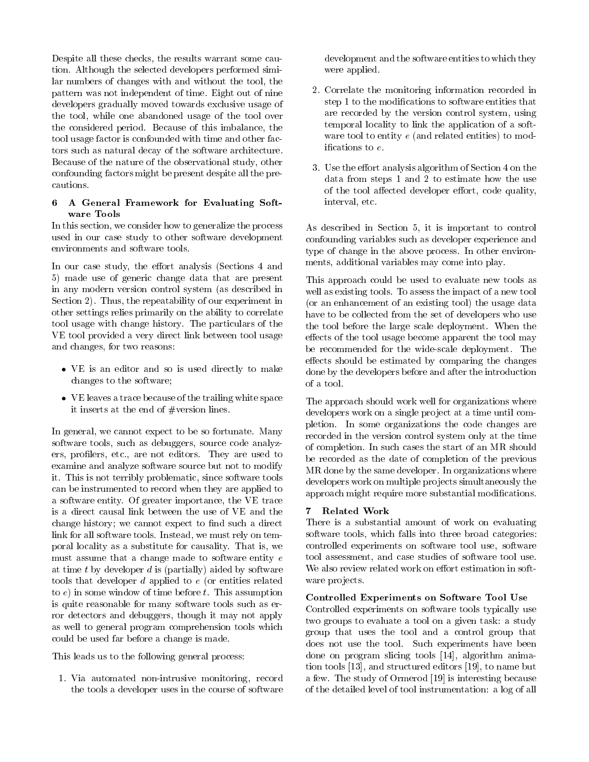Despite all these checks, the results warrant some caution. Although the selected developers performed similar numbers of changes with and without the tool, the pattern was not independent of time. Eight out of nine developers gradually moved towards exclusive usage of the tool, while one abandoned usage of the tool over the considered period. Because of this imbalance, the tool usage factor is confounded with time and other factors such as natural decay of the software architecture. Because of the nature of the observational study, other confounding factors might be present despite all the precautions.

#### 6 A General Framework for Evaluating Soft- 6 ware Tools

In this section, we consider how to generalize the process used in our case study to other software development environments and software tools.

In our case study, the effort analysis (Sections 4 and 5) made use of generic change data that are present in any modern version control system (as described in Section 2). Thus, the repeatability of our experiment in other settings relies primarily on the ability to correlate tool usage with change history. The particulars of the VE tool provided a very direct link between tool usage and changes, for two reasons:

- $\bullet$  VE is an editor and so is used directly to make  $A_c$ changes to the software;
- VE leaves a trace because of the trailing white space it inserts at the end of #version lines.

In general, we cannot expect to be so fortunate. Many software tools, such as debuggers, source code analyzers, profilers, etc., are not editors. They are used to examine and analyze software source but not to modify it. This is not terribly problematic, since software tools can be instrumented to record when they are applied to a software entity. Of greater importance, the VE trace is a direct causal link between the use of VE and the change history; we cannot expect to find such a direct link for all software tools. Instead, we must rely on temporal locality as a substitute for causality. That is, we must assume that a change made to software entity <sup>e</sup> at time  $t$  by developer  $d$  is (partially) aided by software tools that developer  $d$  applied to  $e$  (or entities related to  $e$ ) in some window of time before t. This assumption is quite reasonable for many software tools such as error detectors and debuggers, though it may not apply as well to general program comprehension tools which could be used far before a change is made.

This leads us to the following general process:

1. Via automated non-intrusive monitoring, record the tools a developer uses in the course of software development and the software entities to which they were applied.

- 2. Correlate the monitoring information recorded in step 1 to the modications to software entities that are recorded by the version control system, using temporal locality to link the application of a soft ware tool to entity e (and related entities) to modifications to e.
- 3. Use the effort analysis algorithm of Section 4 on the data from steps 1 and 2 to estimate how the use of the tool affected developer effort, code quality, interval, etc.

As described in Section 5, it is important to control confounding variables such as developer experience and type of change in the above process. In other environments, additional variables may come into play.

This approach could be used to evaluate new tools as well as existing tools. To assess the impact of a new tool (or an enhancement of an existing tool) the usage data have to be collected from the set of developers who use the tool before the large scale deployment. When the effects of the tool usage become apparent the tool may be recommended for the wide-scale deployment. The effects should be estimated by comparing the changes done by the developers before and after the introduction of a tool.

The approach should work well for organizations where developers work on a single project at a time until completion. In some organizations the code changes are recorded in the version control system only at the time of completion. In such cases the start of an MR should be recorded as the date of completion of the previous MR done by the same developer. In organizations where developers work on multiple projects simultaneously the approach might require more substantial modications.

## 7 Related Work

There is a substantial amount of work on evaluating software tools, which falls into three broad categories: controlled experiments on software tool use, software tool assessment, and case studies of software tool use. We also review related work on effort estimation in software projects.

#### Controlled Experiments on Software Tool Use

Controlled experiments on software tools typically use two groups to evaluate a tool on a given task: a study group that uses the tool and a control group that does not use the tool. Such experiments have been done on program slicing tools [14], algorithm animation tools [13], and structured editors [19], to name but a few. The study of Ormerod [19] is interesting because of the detailed level of tool instrumentation: a log of all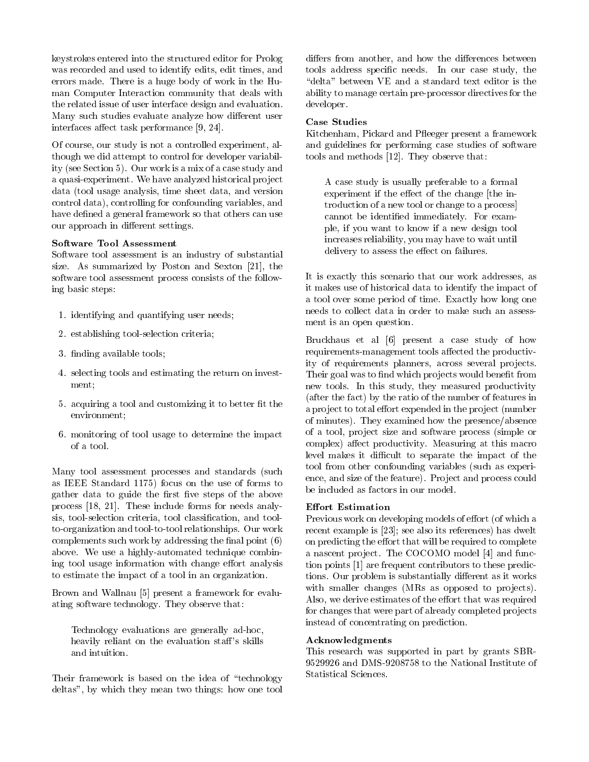keystrokes entered into the structured editor for Prolog was recorded and used to identify edits, edit times, and errors made. There is a huge body of work in the Human Computer Interaction community that deals with the related issue of user interface design and evaluation. Many such studies evaluate analyze how different user interfaces affect task performance [9, 24].

Of course, our study is not a controlled experiment, although we did attempt to control for developer variability (see Section 5). Our work is a mix of a case study and a quasi-experiment. We have analyzed historical project data (tool usage analysis, time sheet data, and version control data), controlling for confounding variables, and have defined a general framework so that others can use our approach in different settings.

#### Software Tool Assessment

Software tool assessment is an industry of substantial size. As summarized by Poston and Sexton [21], the software tool assessment process consists of the following basic steps:

- 1. identifying and quantifying user needs;
- 2. establishing tool-selection criteria;
- 3. finding available tools;
- 4. selecting tools and estimating the return on investment: ments are a series of the control of the control of the control of the control of the control of the control of
- 5. acquiring a tool and customizing it to better fit the environment;
- 6. monitoring of tool usage to determine the impact of a tool.

Many tool assessment processes and standards (such as IEEE Standard 1175) focus on the use of forms to the ence, and size of the reature). Projection is the included as factors in our model. gather data to guide the first five steps of the above process [18, 21]. These include forms for needs analysis, tool-selection criteria, tool classication, and toolto-organization and tool-to-tool relationships. Our work complements such work by addressing the final point  $(6)$ above. We use a highly-automated technique combining tool usage information with change effort analysis to estimate the impact of a tool in an organization.

Brown and Wallnau [5] present a framework for evaluating software technology. They observe that:

Technology evaluations are generally ad-hoc, heavily reliant on the evaluation staff's skills and intuition.

Their framework is based on the idea of "technology deltas", by which they mean two things: how one tool differs from another, and how the differences between tools address specic needs. In our case study, the "delta" between VE and a standard text editor is the ability to manage certain pre-processor directives for the developer. developer. The contract of the contract of the contract of the contract of the contract of the contract of the

#### Case Studies

Kitchenham, Pickard and P
eeger present a framework and guidelines for performing case studies of software tools and methods [12]. They observe that:

A case study is usually preferable to a formal experiment if the effect of the change [the introduction of a new tool or change to a process] cannot be identied immediately. For example, if you want to know if a new design tool increases reliability, you may have to wait until delivery to assess the effect on failures.

It is exactly this scenario that our work addresses, as it makes use of historical data to identify the impact of a tool over some period of time. Exactly how long one needs to collect data in order to make such an assessment is an open question.

Bruckhaus et al [6] present a case study of how requirements-management tools affected the productivity of requirements planners, across several projects. Their goal was to find which projects would benefit from new tools. In this study, they measured productivity (after the fact) by the ratio of the number of features in a project to total effort expended in the project (number of minutes). They examined how the presence/absence of a tool, pro ject size and software process (simple or complex) affect productivity. Measuring at this macro level makes it difficult to separate the impact of the tool from other confounding variables (such as experience, and size of the feature). Project and process could

#### **Effort Estimation**

Previous work on developing models of effort (of which a recent example is [23]; see also its references) has dwelt on predicting the effort that will be required to complete a nascent project. The COCOMO model [4] and function points [1] are frequent contributors to these predictions. Our problem is substantially different as it works with smaller changes (MRs as opposed to projects). Also, we derive estimates of the effort that was required for changes that were part of already completed projects instead of concentrating on prediction.

#### Acknowledgments

This research was supported in part by grants SBR-9529926 and DMS-9208758 to the National Institute of **Statistical Sciences.**